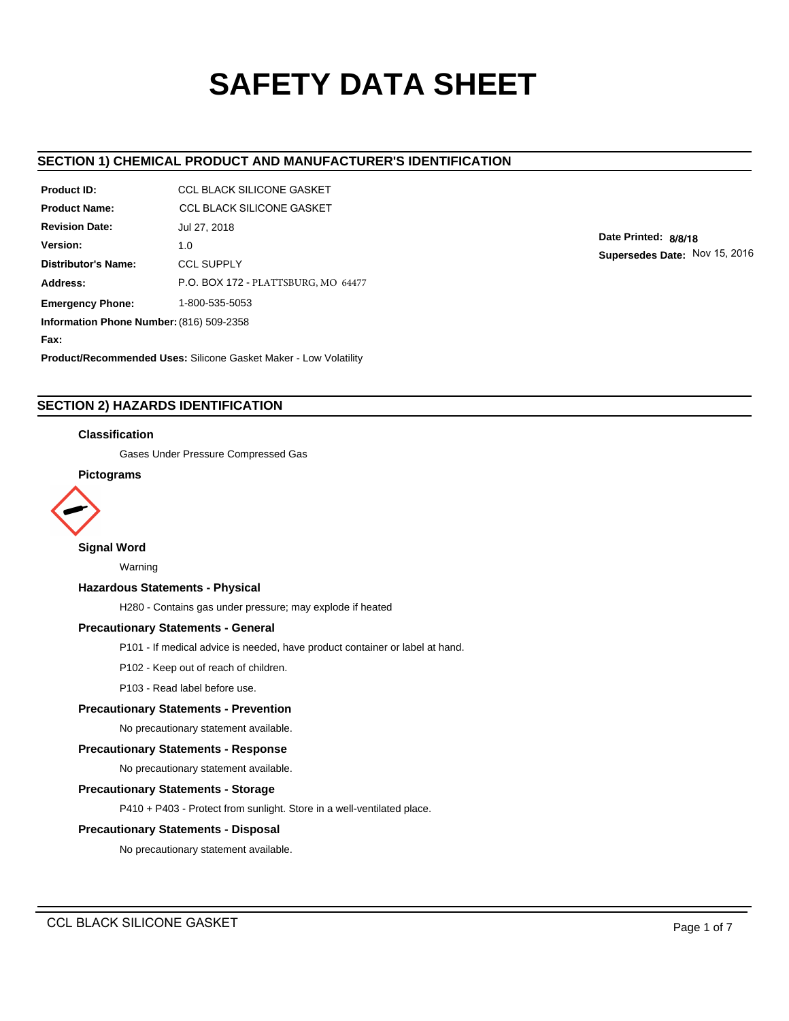# **SAFETY DATA SHEET**

# **SECTION 1) CHEMICAL PRODUCT AND MANUFACTURER'S IDENTIFICATION**

| Product ID:                              | CCL BLACK SILICONE GASKET           |  |  |  |  |
|------------------------------------------|-------------------------------------|--|--|--|--|
| <b>Product Name:</b>                     | CCL BLACK SILICONE GASKET           |  |  |  |  |
| <b>Revision Date:</b>                    | Jul 27, 2018                        |  |  |  |  |
| Version:                                 | 1.0                                 |  |  |  |  |
| Distributor's Name:                      | <b>CCL SUPPLY</b>                   |  |  |  |  |
| Address:                                 | P.O. BOX 172 - PLATTSBURG, MO 64477 |  |  |  |  |
| <b>Emergency Phone:</b>                  | 1-800-535-5053                      |  |  |  |  |
| Information Phone Number: (816) 509-2358 |                                     |  |  |  |  |
| Fax:                                     |                                     |  |  |  |  |

**Product/Recommended Uses:** Silicone Gasket Maker - Low Volatility

# **SECTION 2) HAZARDS IDENTIFICATION**

#### **Classification**

Gases Under Pressure Compressed Gas

# **Pictograms**



#### **Signal Word**

Warning

#### **Hazardous Statements - Physical**

H280 - Contains gas under pressure; may explode if heated

# **Precautionary Statements - General**

P101 - If medical advice is needed, have product container or label at hand.

P102 - Keep out of reach of children.

P103 - Read label before use.

## **Precautionary Statements - Prevention**

No precautionary statement available.

#### **Precautionary Statements - Response**

No precautionary statement available.

#### **Precautionary Statements - Storage**

P410 + P403 - Protect from sunlight. Store in a well-ventilated place.

#### **Precautionary Statements - Disposal**

No precautionary statement available.

**Date Printed: 8/8/18**

**Supersedes Date:** Nov 15, 2016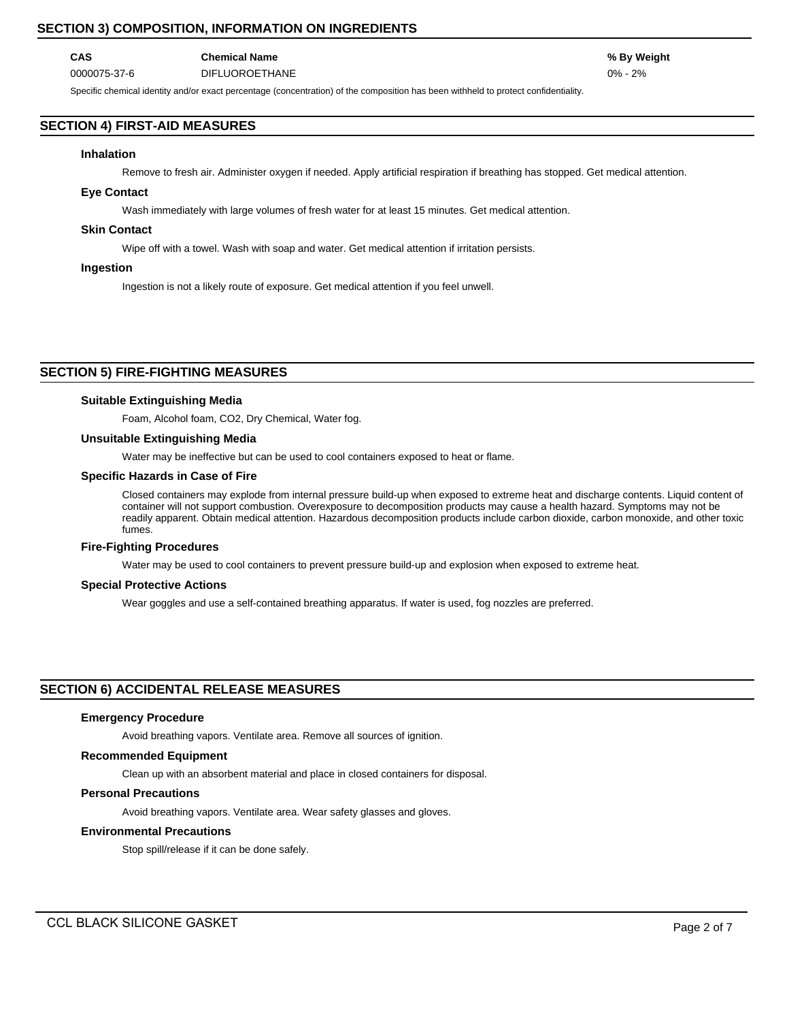# **SECTION 3) COMPOSITION, INFORMATION ON INGREDIENTS**

# **CAS Chemical Name % By Weight** 0000075-37-6 DIFLUOROETHANE 0% - 2%

Specific chemical identity and/or exact percentage (concentration) of the composition has been withheld to protect confidentiality.

# **SECTION 4) FIRST-AID MEASURES**

#### **Inhalation**

Remove to fresh air. Administer oxygen if needed. Apply artificial respiration if breathing has stopped. Get medical attention.

#### **Eye Contact**

Wash immediately with large volumes of fresh water for at least 15 minutes. Get medical attention.

#### **Skin Contact**

Wipe off with a towel. Wash with soap and water. Get medical attention if irritation persists.

#### **Ingestion**

Ingestion is not a likely route of exposure. Get medical attention if you feel unwell.

# **SECTION 5) FIRE-FIGHTING MEASURES**

#### **Suitable Extinguishing Media**

Foam, Alcohol foam, CO2, Dry Chemical, Water fog.

## **Unsuitable Extinguishing Media**

Water may be ineffective but can be used to cool containers exposed to heat or flame.

#### **Specific Hazards in Case of Fire**

Closed containers may explode from internal pressure build-up when exposed to extreme heat and discharge contents. Liquid content of container will not support combustion. Overexposure to decomposition products may cause a health hazard. Symptoms may not be readily apparent. Obtain medical attention. Hazardous decomposition products include carbon dioxide, carbon monoxide, and other toxic fumes.

#### **Fire-Fighting Procedures**

Water may be used to cool containers to prevent pressure build-up and explosion when exposed to extreme heat.

#### **Special Protective Actions**

Wear goggles and use a self-contained breathing apparatus. If water is used, fog nozzles are preferred.

#### **SECTION 6) ACCIDENTAL RELEASE MEASURES**

#### **Emergency Procedure**

Avoid breathing vapors. Ventilate area. Remove all sources of ignition.

#### **Recommended Equipment**

Clean up with an absorbent material and place in closed containers for disposal.

## **Personal Precautions**

Avoid breathing vapors. Ventilate area. Wear safety glasses and gloves.

#### **Environmental Precautions**

Stop spill/release if it can be done safely.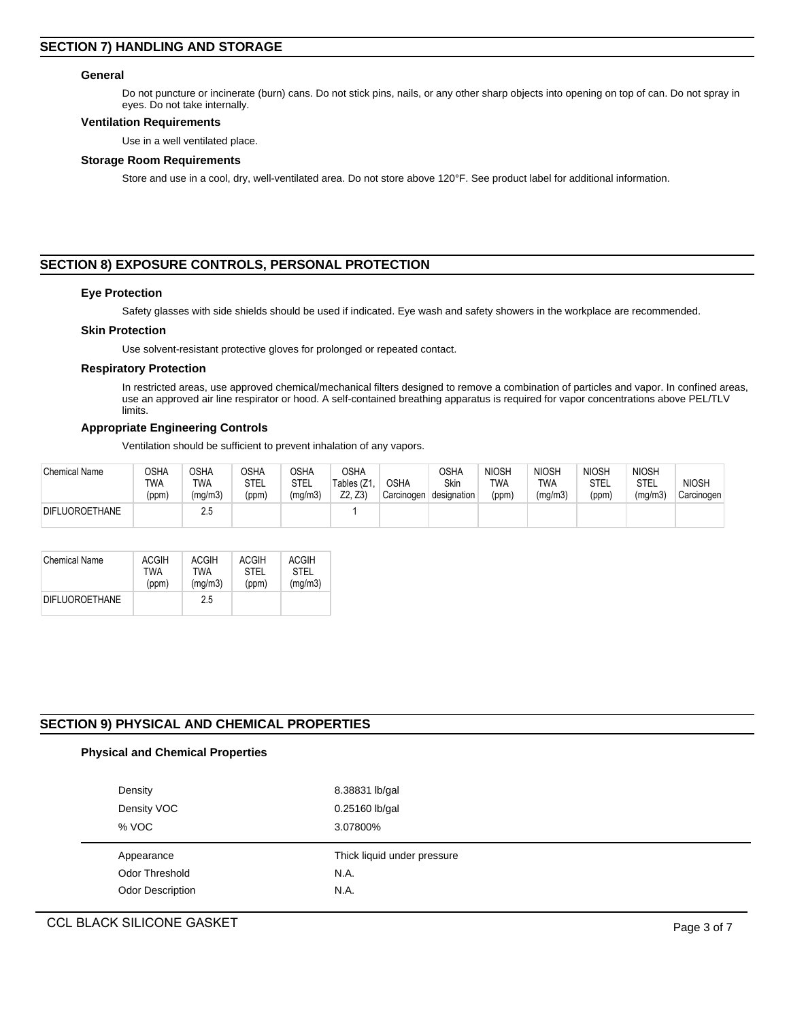#### **General**

Do not puncture or incinerate (burn) cans. Do not stick pins, nails, or any other sharp objects into opening on top of can. Do not spray in eyes. Do not take internally.

#### **Ventilation Requirements**

Use in a well ventilated place.

#### **Storage Room Requirements**

Store and use in a cool, dry, well-ventilated area. Do not store above 120°F. See product label for additional information.

# **SECTION 8) EXPOSURE CONTROLS, PERSONAL PROTECTION**

#### **Eye Protection**

Safety glasses with side shields should be used if indicated. Eye wash and safety showers in the workplace are recommended.

#### **Skin Protection**

Use solvent-resistant protective gloves for prolonged or repeated contact.

#### **Respiratory Protection**

In restricted areas, use approved chemical/mechanical filters designed to remove a combination of particles and vapor. In confined areas, use an approved air line respirator or hood. A self-contained breathing apparatus is required for vapor concentrations above PEL/TLV limits.

#### **Appropriate Engineering Controls**

Ventilation should be sufficient to prevent inhalation of any vapors.

| <b>Chemical Name</b>  | OSHA<br>TWA<br>(ppm) | OSHA<br>TWA<br>(mg/m3) | <b>OSHA</b><br>STEL<br>(ppm) | OSHA<br>STEL<br>(mg/m3) | <b>OSHA</b><br>Tables (Z1<br>Z2. Z3 | <b>OSHA</b><br>Carcinogen | OSHA<br>Skin<br>designation | <b>NIOSH</b><br>TWA<br>(ppm) | <b>NIOSH</b><br>TWA<br>(mg/m3) | <b>NIOSH</b><br>STEL<br>(ppm) | <b>NIOSH</b><br><b>STEL</b><br>(mg/m3) | <b>NIOSH</b><br>Carcinogen |
|-----------------------|----------------------|------------------------|------------------------------|-------------------------|-------------------------------------|---------------------------|-----------------------------|------------------------------|--------------------------------|-------------------------------|----------------------------------------|----------------------------|
| <b>DIFLUOROETHANE</b> |                      | 2.5                    |                              |                         |                                     |                           |                             |                              |                                |                               |                                        |                            |

| <b>Chemical Name</b>  | <b>ACGIH</b> | <b>ACGIH</b> | ACGIH | <b>ACGIH</b> |
|-----------------------|--------------|--------------|-------|--------------|
|                       | TWA          | TWA          | STEL  | <b>STEL</b>  |
|                       | (ppm)        | (mq/m3)      | (ppm) | (mq/m3)      |
| <b>DIFLUOROETHANE</b> |              | 25           |       |              |

# **SECTION 9) PHYSICAL AND CHEMICAL PROPERTIES**

# **Physical and Chemical Properties**

| Density                 | 8.38831 lb/gal              |
|-------------------------|-----------------------------|
| Density VOC             | 0.25160 lb/gal              |
| % VOC                   | 3.07800%                    |
|                         |                             |
| Appearance              | Thick liquid under pressure |
| Odor Threshold          | N.A.                        |
| <b>Odor Description</b> | N.A.                        |

# CCL BLACK SILICONE GASKET **Page 3 of 7**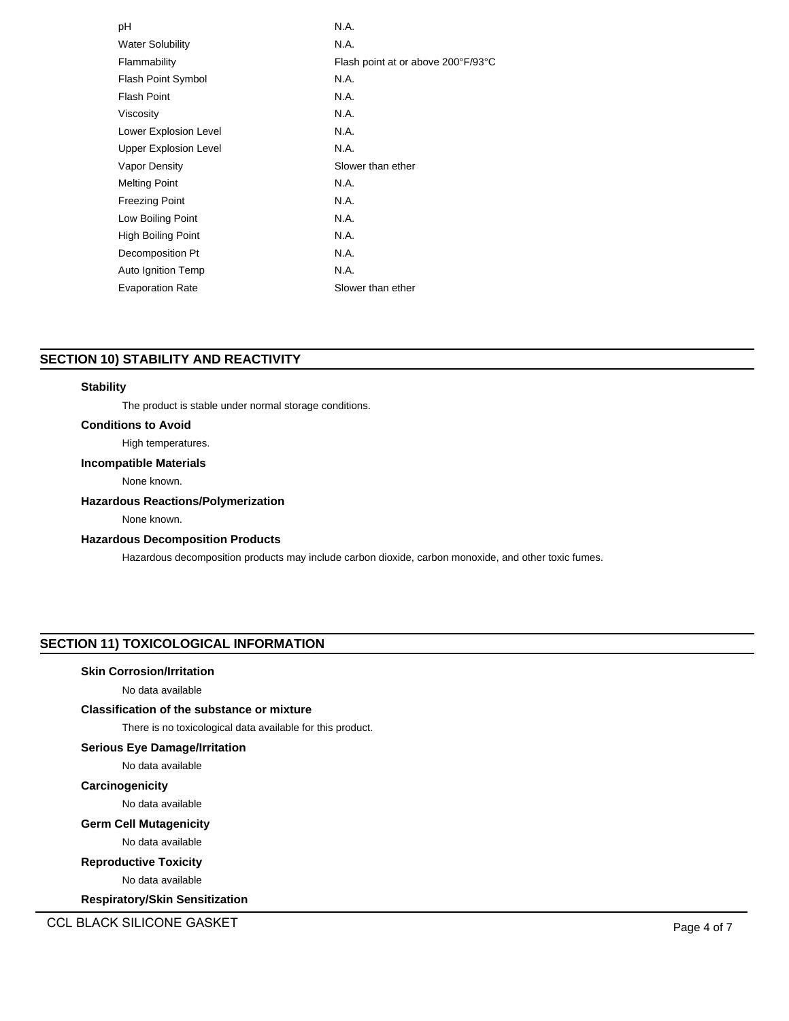| рH                           | N.A.                               |
|------------------------------|------------------------------------|
| <b>Water Solubility</b>      | N.A.                               |
| Flammability                 | Flash point at or above 200°F/93°C |
| Flash Point Symbol           | N.A.                               |
| <b>Flash Point</b>           | N.A.                               |
| Viscosity                    | N.A.                               |
| Lower Explosion Level        | N.A.                               |
| <b>Upper Explosion Level</b> | N.A.                               |
| <b>Vapor Density</b>         | Slower than ether                  |
| <b>Melting Point</b>         | N.A.                               |
| <b>Freezing Point</b>        | N.A.                               |
| Low Boiling Point            | N.A.                               |
| High Boiling Point           | N.A.                               |
| Decomposition Pt             | N.A.                               |
| Auto Ignition Temp           | N.A.                               |
| <b>Evaporation Rate</b>      | Slower than ether                  |
|                              |                                    |

# **SECTION 10) STABILITY AND REACTIVITY**

#### **Stability**

The product is stable under normal storage conditions.

## **Conditions to Avoid**

# High temperatures.

## **Incompatible Materials**

None known.

## **Hazardous Reactions/Polymerization**

None known.

# **Hazardous Decomposition Products**

Hazardous decomposition products may include carbon dioxide, carbon monoxide, and other toxic fumes.

# **SECTION 11) TOXICOLOGICAL INFORMATION**

#### **Skin Corrosion/Irritation**

No data available

# **Classification of the substance or mixture**

There is no toxicological data available for this product.

# **Serious Eye Damage/Irritation**

No data available

# **Carcinogenicity**

No data available

## **Germ Cell Mutagenicity**

No data available

## **Reproductive Toxicity**

No data available

**Respiratory/Skin Sensitization**

CCL BLACK SILICONE GASKET **Page 4 of 7**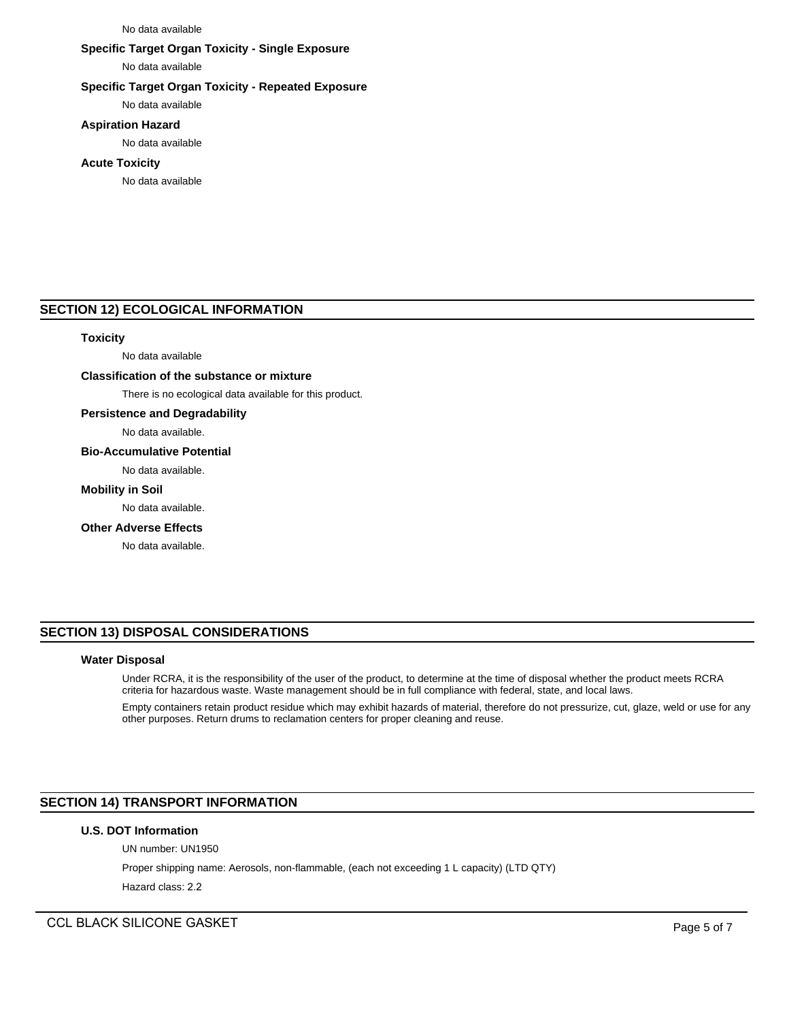#### No data available

# **Specific Target Organ Toxicity - Single Exposure**

No data available

## **Specific Target Organ Toxicity - Repeated Exposure**

No data available

## **Aspiration Hazard**

No data available

#### **Acute Toxicity**

No data available

#### **SECTION 12) ECOLOGICAL INFORMATION**

#### **Toxicity**

No data available

## **Classification of the substance or mixture**

There is no ecological data available for this product.

#### **Persistence and Degradability**

No data available.

#### **Bio-Accumulative Potential**

No data available.

#### **Mobility in Soil**

No data available.

#### **Other Adverse Effects**

No data available.

# **SECTION 13) DISPOSAL CONSIDERATIONS**

#### **Water Disposal**

Under RCRA, it is the responsibility of the user of the product, to determine at the time of disposal whether the product meets RCRA criteria for hazardous waste. Waste management should be in full compliance with federal, state, and local laws.

Empty containers retain product residue which may exhibit hazards of material, therefore do not pressurize, cut, glaze, weld or use for any other purposes. Return drums to reclamation centers for proper cleaning and reuse.

# **SECTION 14) TRANSPORT INFORMATION**

## **U.S. DOT Information**

UN number: UN1950

Proper shipping name: Aerosols, non-flammable, (each not exceeding 1 L capacity) (LTD QTY)

Hazard class: 2.2

CCL BLACK SILICONE GASKET **Page 1 and 2** and 2 and 2 and 2 and 2 and 2 and 2 and 2 and 2 and 2 and 2 and 2 and 2 and 2 and 2 and 2 and 2 and 2 and 2 and 2 and 2 and 2 and 2 and 2 and 2 and 2 and 2 and 2 and 2 and 2 and 2 a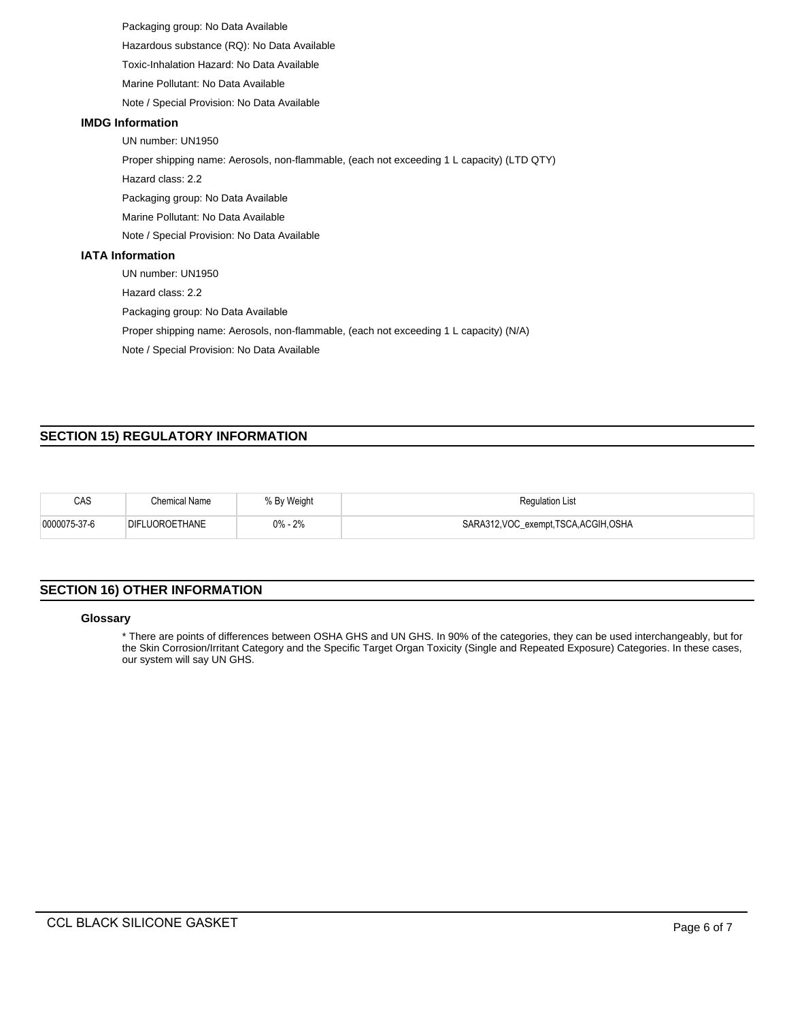Packaging group: No Data Available Hazardous substance (RQ): No Data Available

Toxic-Inhalation Hazard: No Data Available

Marine Pollutant: No Data Available

Note / Special Provision: No Data Available

## **IMDG Information**

UN number: UN1950

Proper shipping name: Aerosols, non-flammable, (each not exceeding 1 L capacity) (LTD QTY)

Hazard class: 2.2

Packaging group: No Data Available

Marine Pollutant: No Data Available

Note / Special Provision: No Data Available

# **IATA Information**

UN number: UN1950

Hazard class: 2.2

Packaging group: No Data Available

Proper shipping name: Aerosols, non-flammable, (each not exceeding 1 L capacity) (N/A)

Note / Special Provision: No Data Available

# **SECTION 15) REGULATORY INFORMATION**

| CAS          | Chemical Name  | % By Weight | <b>Regulation List</b>             |
|--------------|----------------|-------------|------------------------------------|
| 0000075-37-6 | DIFLUOROETHANE | $0\% - 2\%$ | SARA312,VOC_exempt,TSCA,ACGIH,OSHA |

# **SECTION 16) OTHER INFORMATION**

#### **Glossary**

\* There are points of differences between OSHA GHS and UN GHS. In 90% of the categories, they can be used interchangeably, but for the Skin Corrosion/Irritant Category and the Specific Target Organ Toxicity (Single and Repeated Exposure) Categories. In these cases, our system will say UN GHS.